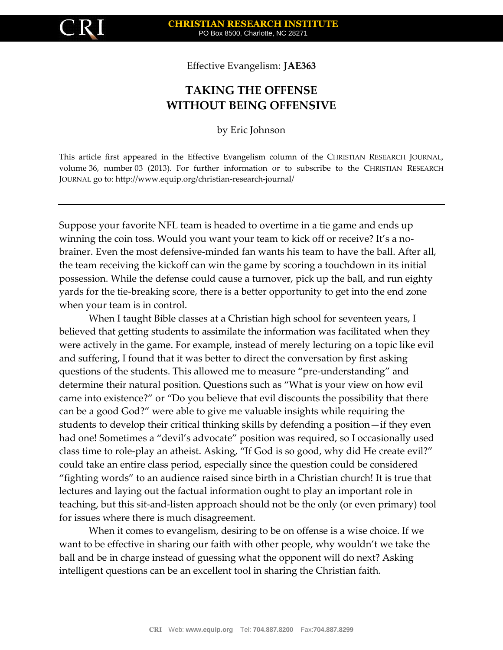

Effective Evangelism: **JAE363**

## **TAKING THE OFFENSE WITHOUT BEING OFFENSIVE**

by Eric Johnson

This article first appeared in the Effective Evangelism column of the CHRISTIAN RESEARCH JOURNAL, volume 36, number 03 (2013). For further information or to subscribe to the CHRISTIAN RESEARCH JOURNAL go to: http://www.equip.org/christian-research-journal/

Suppose your favorite NFL team is headed to overtime in a tie game and ends up winning the coin toss. Would you want your team to kick off or receive? It's a nobrainer. Even the most defensive-minded fan wants his team to have the ball. After all, the team receiving the kickoff can win the game by scoring a touchdown in its initial possession. While the defense could cause a turnover, pick up the ball, and run eighty yards for the tie-breaking score, there is a better opportunity to get into the end zone when your team is in control.

When I taught Bible classes at a Christian high school for seventeen years, I believed that getting students to assimilate the information was facilitated when they were actively in the game. For example, instead of merely lecturing on a topic like evil and suffering, I found that it was better to direct the conversation by first asking questions of the students. This allowed me to measure "pre-understanding" and determine their natural position. Questions such as "What is your view on how evil came into existence?" or "Do you believe that evil discounts the possibility that there can be a good God?" were able to give me valuable insights while requiring the students to develop their critical thinking skills by defending a position—if they even had one! Sometimes a "devil's advocate" position was required, so I occasionally used class time to role-play an atheist. Asking, "If God is so good, why did He create evil?" could take an entire class period, especially since the question could be considered "fighting words" to an audience raised since birth in a Christian church! It is true that lectures and laying out the factual information ought to play an important role in teaching, but this sit-and-listen approach should not be the only (or even primary) tool for issues where there is much disagreement.

When it comes to evangelism, desiring to be on offense is a wise choice. If we want to be effective in sharing our faith with other people, why wouldn't we take the ball and be in charge instead of guessing what the opponent will do next? Asking intelligent questions can be an excellent tool in sharing the Christian faith.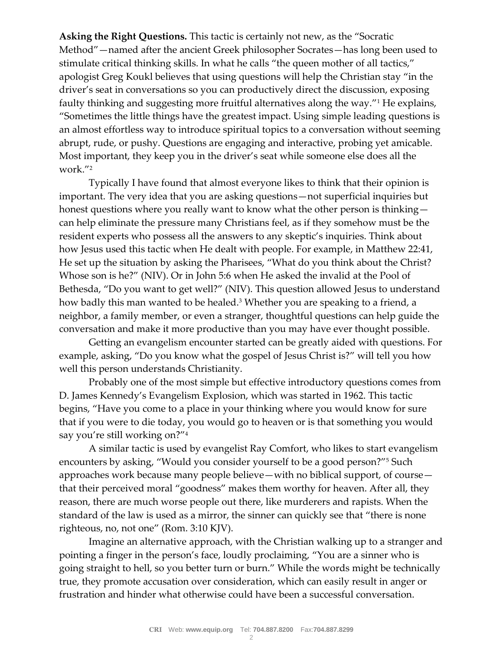**Asking the Right Questions.** This tactic is certainly not new, as the "Socratic Method"—named after the ancient Greek philosopher Socrates—has long been used to stimulate critical thinking skills. In what he calls "the queen mother of all tactics," apologist Greg Koukl believes that using questions will help the Christian stay "in the driver's seat in conversations so you can productively direct the discussion, exposing faulty thinking and suggesting more fruitful alternatives along the way."<sup>1</sup> He explains, "Sometimes the little things have the greatest impact. Using simple leading questions is an almost effortless way to introduce spiritual topics to a conversation without seeming abrupt, rude, or pushy. Questions are engaging and interactive, probing yet amicable. Most important, they keep you in the driver's seat while someone else does all the work."<sup>2</sup>

Typically I have found that almost everyone likes to think that their opinion is important. The very idea that you are asking questions—not superficial inquiries but honest questions where you really want to know what the other person is thinking can help eliminate the pressure many Christians feel, as if they somehow must be the resident experts who possess all the answers to any skeptic's inquiries. Think about how Jesus used this tactic when He dealt with people. For example, in Matthew 22:41, He set up the situation by asking the Pharisees, "What do you think about the Christ? Whose son is he?" (NIV). Or in John 5:6 when He asked the invalid at the Pool of Bethesda, "Do you want to get well?" (NIV). This question allowed Jesus to understand how badly this man wanted to be healed.<sup>3</sup> Whether you are speaking to a friend, a neighbor, a family member, or even a stranger, thoughtful questions can help guide the conversation and make it more productive than you may have ever thought possible.

Getting an evangelism encounter started can be greatly aided with questions. For example, asking, "Do you know what the gospel of Jesus Christ is?" will tell you how well this person understands Christianity.

Probably one of the most simple but effective introductory questions comes from D. James Kennedy's Evangelism Explosion, which was started in 1962. This tactic begins, "Have you come to a place in your thinking where you would know for sure that if you were to die today, you would go to heaven or is that something you would say you're still working on?"<sup>4</sup>

A similar tactic is used by evangelist Ray Comfort, who likes to start evangelism encounters by asking, "Would you consider yourself to be a good person?"<sup>5</sup> Such approaches work because many people believe—with no biblical support, of course that their perceived moral "goodness" makes them worthy for heaven. After all, they reason, there are much worse people out there, like murderers and rapists. When the standard of the law is used as a mirror, the sinner can quickly see that "there is none righteous, no, not one" (Rom. 3:10 KJV).

Imagine an alternative approach, with the Christian walking up to a stranger and pointing a finger in the person's face, loudly proclaiming, "You are a sinner who is going straight to hell, so you better turn or burn." While the words might be technically true, they promote accusation over consideration, which can easily result in anger or frustration and hinder what otherwise could have been a successful conversation.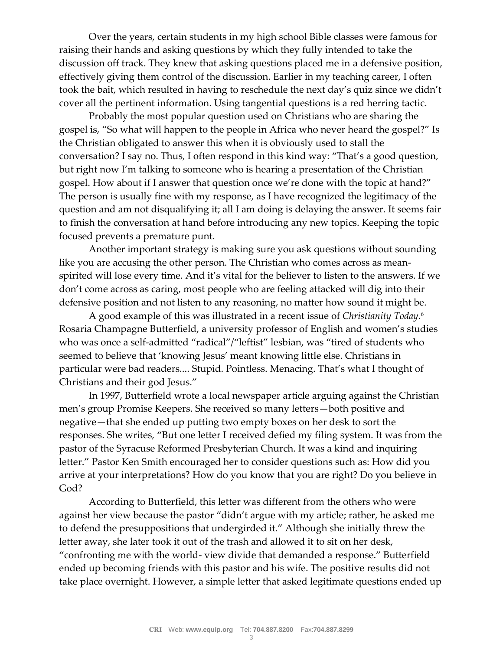Over the years, certain students in my high school Bible classes were famous for raising their hands and asking questions by which they fully intended to take the discussion off track. They knew that asking questions placed me in a defensive position, effectively giving them control of the discussion. Earlier in my teaching career, I often took the bait, which resulted in having to reschedule the next day's quiz since we didn't cover all the pertinent information. Using tangential questions is a red herring tactic.

Probably the most popular question used on Christians who are sharing the gospel is, "So what will happen to the people in Africa who never heard the gospel?" Is the Christian obligated to answer this when it is obviously used to stall the conversation? I say no. Thus, I often respond in this kind way: "That's a good question, but right now I'm talking to someone who is hearing a presentation of the Christian gospel. How about if I answer that question once we're done with the topic at hand?" The person is usually fine with my response, as I have recognized the legitimacy of the question and am not disqualifying it; all I am doing is delaying the answer. It seems fair to finish the conversation at hand before introducing any new topics. Keeping the topic focused prevents a premature punt.

Another important strategy is making sure you ask questions without sounding like you are accusing the other person. The Christian who comes across as meanspirited will lose every time. And it's vital for the believer to listen to the answers. If we don't come across as caring, most people who are feeling attacked will dig into their defensive position and not listen to any reasoning, no matter how sound it might be.

A good example of this was illustrated in a recent issue of *Christianity Today*. 6 Rosaria Champagne Butterfield, a university professor of English and women's studies who was once a self-admitted "radical"/"leftist" lesbian, was "tired of students who seemed to believe that 'knowing Jesus' meant knowing little else. Christians in particular were bad readers.... Stupid. Pointless. Menacing. That's what I thought of Christians and their god Jesus."

In 1997, Butterfield wrote a local newspaper article arguing against the Christian men's group Promise Keepers. She received so many letters—both positive and negative—that she ended up putting two empty boxes on her desk to sort the responses. She writes, "But one letter I received defied my filing system. It was from the pastor of the Syracuse Reformed Presbyterian Church. It was a kind and inquiring letter." Pastor Ken Smith encouraged her to consider questions such as: How did you arrive at your interpretations? How do you know that you are right? Do you believe in God?

According to Butterfield, this letter was different from the others who were against her view because the pastor "didn't argue with my article; rather, he asked me to defend the presuppositions that undergirded it." Although she initially threw the letter away, she later took it out of the trash and allowed it to sit on her desk, "confronting me with the world- view divide that demanded a response." Butterfield ended up becoming friends with this pastor and his wife. The positive results did not take place overnight. However, a simple letter that asked legitimate questions ended up